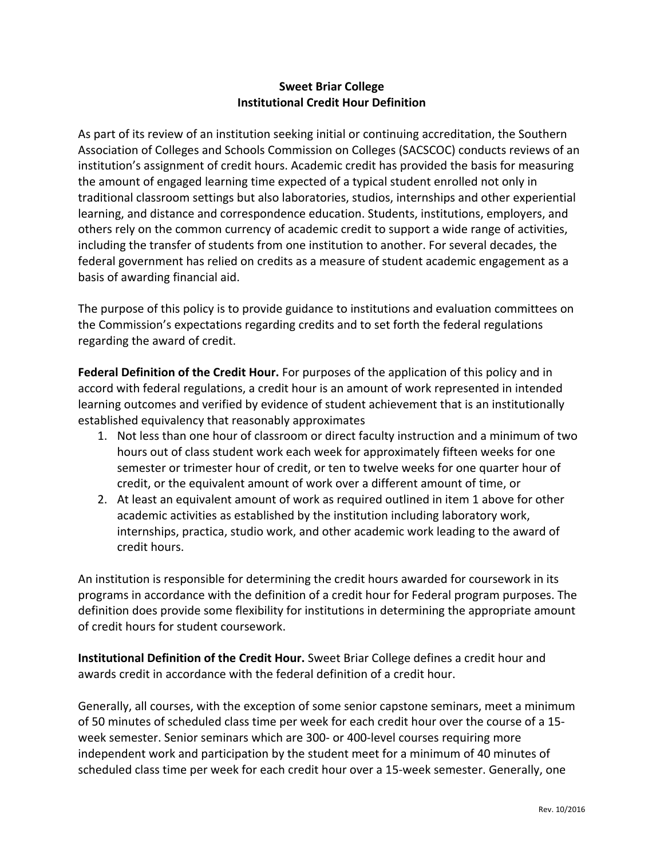## **Sweet Briar College Institutional Credit Hour Definition**

As part of its review of an institution seeking initial or continuing accreditation, the Southern Association of Colleges and Schools Commission on Colleges (SACSCOC) conducts reviews of an institution's assignment of credit hours. Academic credit has provided the basis for measuring the amount of engaged learning time expected of a typical student enrolled not only in traditional classroom settings but also laboratories, studios, internships and other experiential learning, and distance and correspondence education. Students, institutions, employers, and others rely on the common currency of academic credit to support a wide range of activities, including the transfer of students from one institution to another. For several decades, the federal government has relied on credits as a measure of student academic engagement as a basis of awarding financial aid.

The purpose of this policy is to provide guidance to institutions and evaluation committees on the Commission's expectations regarding credits and to set forth the federal regulations regarding the award of credit.

**Federal Definition of the Credit Hour.** For purposes of the application of this policy and in accord with federal regulations, a credit hour is an amount of work represented in intended learning outcomes and verified by evidence of student achievement that is an institutionally established equivalency that reasonably approximates

- 1. Not less than one hour of classroom or direct faculty instruction and a minimum of two hours out of class student work each week for approximately fifteen weeks for one semester or trimester hour of credit, or ten to twelve weeks for one quarter hour of credit, or the equivalent amount of work over a different amount of time, or
- 2. At least an equivalent amount of work as required outlined in item 1 above for other academic activities as established by the institution including laboratory work, internships, practica, studio work, and other academic work leading to the award of credit hours.

An institution is responsible for determining the credit hours awarded for coursework in its programs in accordance with the definition of a credit hour for Federal program purposes. The definition does provide some flexibility for institutions in determining the appropriate amount of credit hours for student coursework.

**Institutional Definition of the Credit Hour.** Sweet Briar College defines a credit hour and awards credit in accordance with the federal definition of a credit hour.

Generally, all courses, with the exception of some senior capstone seminars, meet a minimum of 50 minutes of scheduled class time per week for each credit hour over the course of a 15week semester. Senior seminars which are 300- or 400-level courses requiring more independent work and participation by the student meet for a minimum of 40 minutes of scheduled class time per week for each credit hour over a 15-week semester. Generally, one